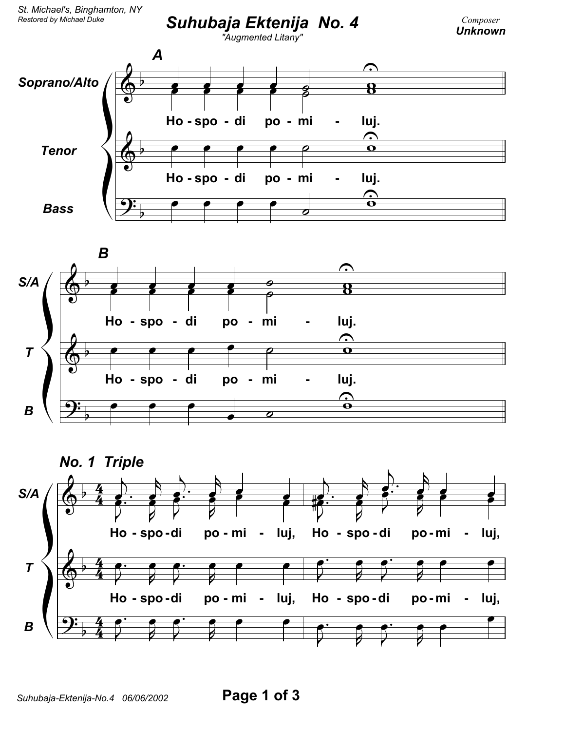







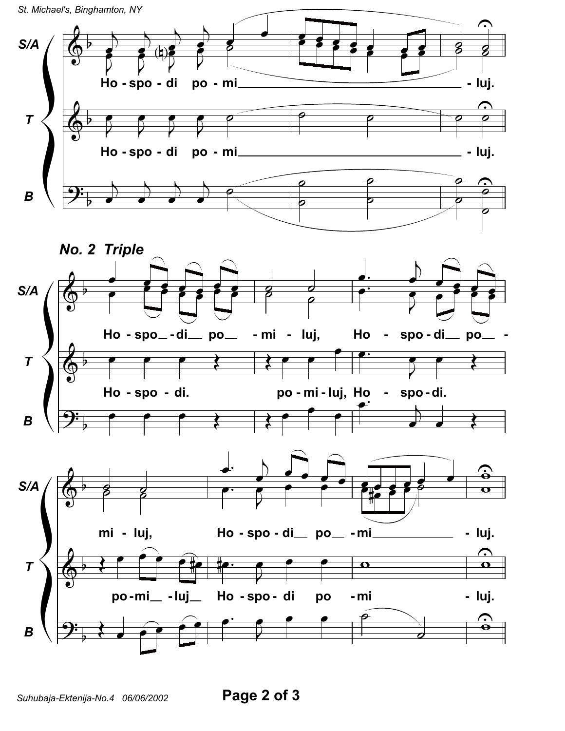St. Michael's, Binghamton, NY